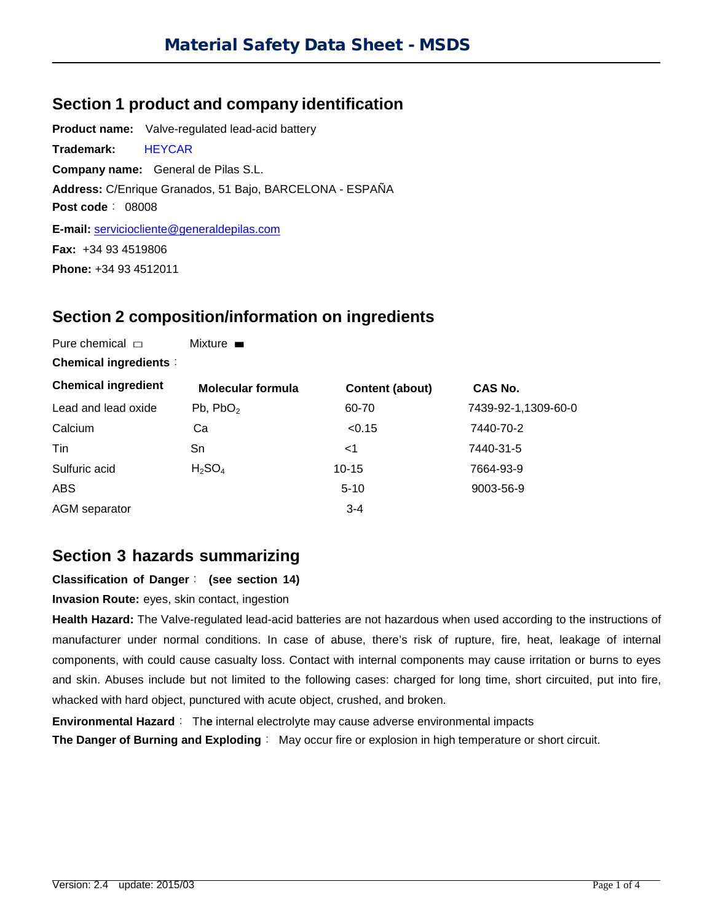## **Section 1 product and company identification**

**Product name:** Valve-regulated lead-acid battery **Trademark:** HEYCAR **Company name:** General de Pilas S.L. Address: C/Enrique Granados, 51 Bajo, BARCELONA - ESPANA **Post code**: 08008 **E-mail:** [serviciocliente@generaldepilas.com](mailto:serviciocliente@generaldepilas.com) **Fax:** +34 93 4519806 **Phone:** +34 93 4512011

## **Section 2 composition/information on ingredients**

Pure chemical  $\Box$  Mixture  $\blacksquare$ **Chemical ingredients**: **Chemical ingredient Molecular formula Content (about) CAS No.** Lead and lead oxide Calcium Pb,  $PbO<sub>2</sub>$ Ca 60-70  $< 0.15$ 7439-92-1,1309-60-0 7440-70-2 Tin Sn <1 7440-31-5 Sulfuric acid ABS  $H_2SO_4$  10-15 5-10 7664-93-9 9003-56-9 AGM separator 3-4

# **Section 3 hazards summarizing**

**Classification of Danger**: **(see section 14)** 

**Invasion Route:** eyes, skin contact, ingestion

**Health Hazard:** The Valve-regulated lead-acid batteries are not hazardous when used according to the instructions of manufacturer under normal conditions. In case of abuse, there's risk of rupture, fire, heat, leakage of internal components, with could cause casualty loss. Contact with internal components may cause irritation or burns to eyes and skin. Abuses include but not limited to the following cases: charged for long time, short circuited, put into fire, whacked with hard object, punctured with acute object, crushed, and broken.

**Environmental Hazard**: Th**e** internal electrolyte may cause adverse environmental impacts **The Danger of Burning and Exploding**: May occur fire or explosion in high temperature or short circuit.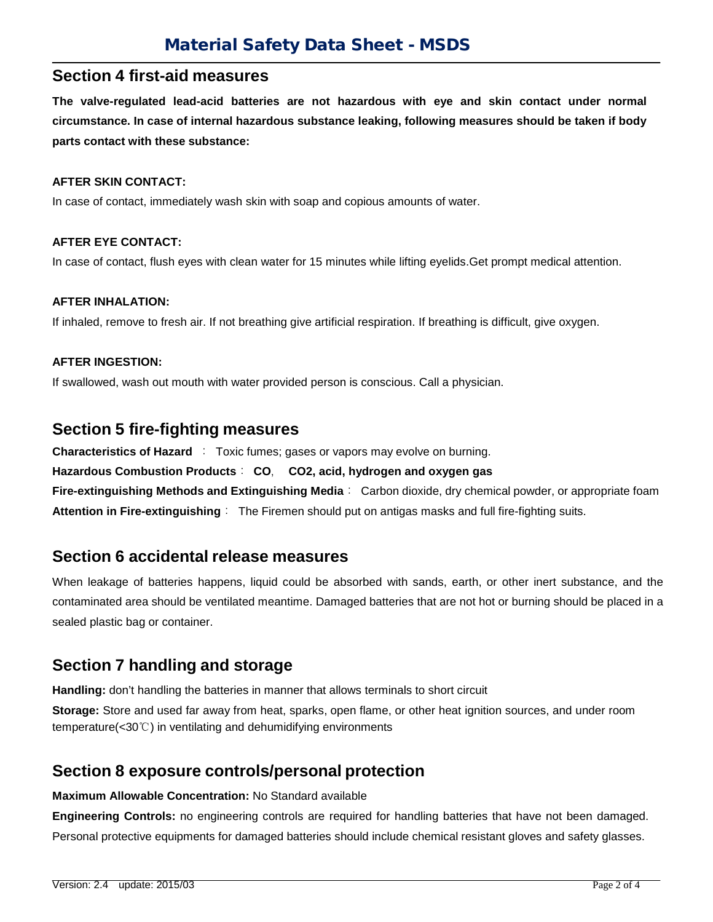# **Section 4 first-aid measures**

**The valve-regulated lead-acid batteries are not hazardous with eye and skin contact under normal circumstance. In case of internal hazardous substance leaking, following measures should be taken if body parts contact with these substance:**

#### **AFTER SKIN CONTACT:**

In case of contact, immediately wash skin with soap and copious amounts of water.

#### **AFTER EYE CONTACT:**

In case of contact, flush eyes with clean water for 15 minutes while lifting eyelids.Get prompt medical attention.

#### **AFTER INHALATION:**

If inhaled, remove to fresh air. If not breathing give artificial respiration. If breathing is difficult, give oxygen.

#### **AFTER INGESTION:**

If swallowed, wash out mouth with water provided person is conscious. Call a physician.

### **Section 5 fire-fighting measures**

**Characteristics of Hazard** : Toxic fumes; gases or vapors may evolve on burning.

**Hazardous Combustion Products**: **CO**, **CO2, acid, hydrogen and oxygen gas**

**Fire-extinguishing Methods and Extinguishing Media**: Carbon dioxide, dry chemical powder, or appropriate foam **Attention in Fire-extinguishing**: The Firemen should put on antigas masks and full fire-fighting suits.

### **Section 6 accidental release measures**

When leakage of batteries happens, liquid could be absorbed with sands, earth, or other inert substance, and the contaminated area should be ventilated meantime. Damaged batteries that are not hot or burning should be placed in a sealed plastic bag or container.

# **Section 7 handling and storage**

**Handling:** don't handling the batteries in manner that allows terminals to short circuit

**Storage:** Store and used far away from heat, sparks, open flame, or other heat ignition sources, and under room temperature(<30℃) in ventilating and dehumidifying environments

### **Section 8 exposure controls/personal protection**

**Maximum Allowable Concentration:** No Standard available

**Engineering Controls:** no engineering controls are required for handling batteries that have not been damaged. Personal protective equipments for damaged batteries should include chemical resistant gloves and safety glasses.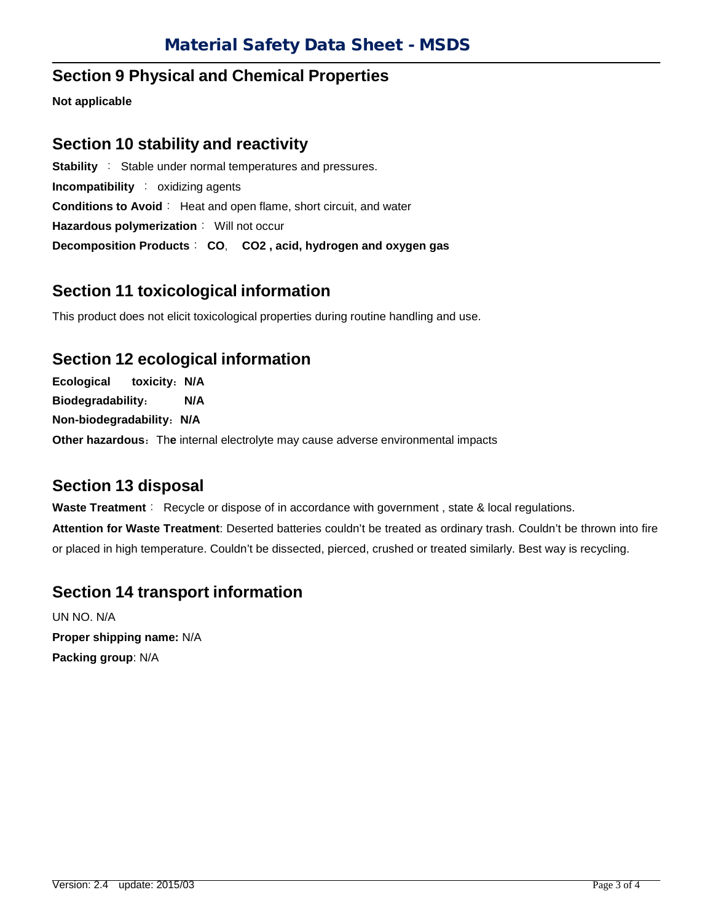# **Section 9 Physical and Chemical Properties**

**Not applicable**

# **Section 10 stability and reactivity**

**Stability** : Stable under normal temperatures and pressures. **Incompatibility** : oxidizing agents **Conditions to Avoid**: Heat and open flame, short circuit, and water **Hazardous polymerization**: Will not occur **Decomposition Products**: **CO**, **CO2 , acid, hydrogen and oxygen gas**

# **Section 11 toxicological information**

This product does not elicit toxicological properties during routine handling and use.

# **Section 12 ecological information**

**Ecological toxicity**:**N/A Biodegradability**: **N/A Non-biodegradability**:**N/A** Other hazardous: The internal electrolyte may cause adverse environmental impacts

# **Section 13 disposal**

**Waste Treatment**: Recycle or dispose of in accordance with government, state & local regulations. **Attention for Waste Treatment**: Deserted batteries couldn't be treated as ordinary trash. Couldn't be thrown into fire or placed in high temperature. Couldn't be dissected, pierced, crushed or treated similarly. Best way is recycling.

## **Section 14 transport information**

UN NO. N/A **Proper shipping name:** N/A **Packing group**: N/A